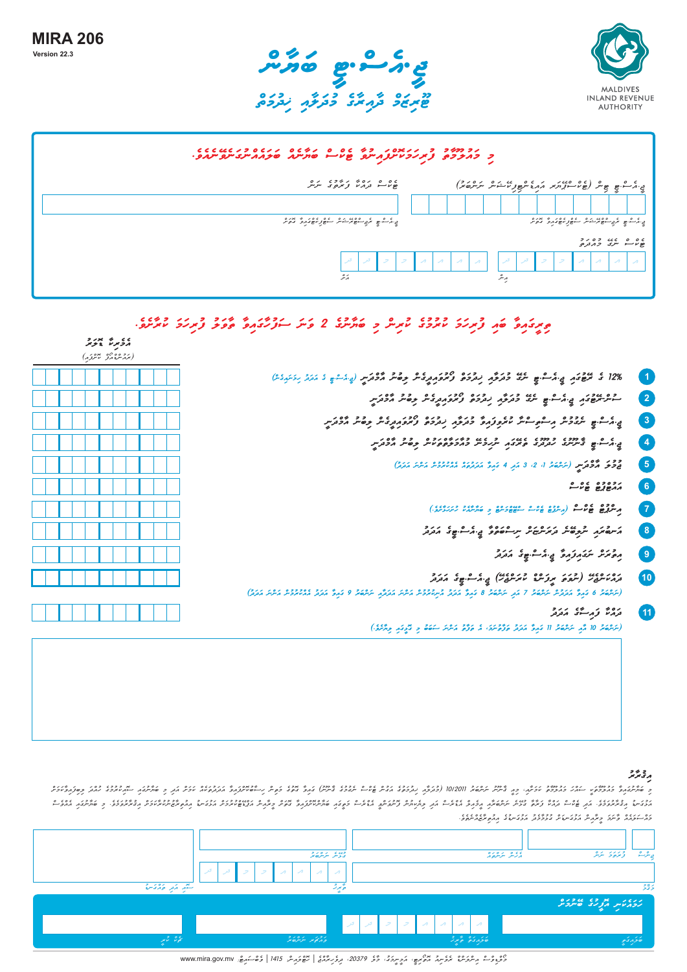

| נד דמיד די נגדם נידע גם סים נדיגם נגדם דיגדית יותר.<br>די דונדרים צ'תניכטית צונייתם שטייים שוניינג שיצוגו ייתר ייתור. |                                                                                                       |  |  |  |  |  |  |
|-----------------------------------------------------------------------------------------------------------------------|-------------------------------------------------------------------------------------------------------|--|--|--|--|--|--|
| ۲۵ ۵ ره ۶ روم در ده<br>جانا درمانی مرکزی مرکز                                                                         | ي. كم - ه ه ه ه علي د د مرد مرد و من الله عليه الله مرد مرد الله عليه الله عليه الله عليه الله عليه ا |  |  |  |  |  |  |
|                                                                                                                       |                                                                                                       |  |  |  |  |  |  |
| ي. د ه ه عربي سوه مر شهر استهوار مهونه د د د ه مر د                                                                   | بي مرے جو سرے سومرے میں عام مورد میں مورد ہے جاتا ہے۔<br>میں مرکز سے مربع سومرے میں اس کا مورد ہے کہ  |  |  |  |  |  |  |
|                                                                                                                       | ם ס ם גם כסיכ<br>פיע ייתב <i>כ</i> תנקים                                                              |  |  |  |  |  |  |
| $\mathcal{A}$<br>الوا                                                                                                 | $\lambda$<br>$\mathcal{A}$<br>$\lambda$<br>$\overline{\mathcal{A}}$                                   |  |  |  |  |  |  |
| برو                                                                                                                   | $\circ$<br>رىز                                                                                        |  |  |  |  |  |  |

## **tirIgwaivW bwai furihwmw kurumuge kurinc mi bwyWnuge 2 vwnw swfuhWgwaivW tWvwlu furihwmw kurWSeve.**

|                                                                                                                                      | برذبرة بمزبر<br>(برزموندو مورد) |  |  |
|--------------------------------------------------------------------------------------------------------------------------------------|---------------------------------|--|--|
| 12% ٤ عودي و ٥٠٠٠ ع عرفة دروم رورده ومؤمر وقد وقد مؤورس (و ١٠٠٠ و ١٠ ١١١ زمير ١                                                      |                                 |  |  |
| - مرسوع در من الله عليه ورؤم زدرده ومرد و دو و دو مودر د                                                                             |                                 |  |  |
| ي גם ۾ پروڊھ גם בשיר בשפנ גם כניכה נכנס למסגונים בסיר הכניין                                                                         |                                 |  |  |
| ם כי המינים כמונים ומינים במשיכות במינים כי המיניים ביום ליום ליום.<br>המיניים הייניים מונים המינים יינים במכפס ביויים בסיים אכנקיים |                                 |  |  |
| دود گوگرس (تر شه ۱۰ تا ۹ قر ۹ قرهٔ موردهٔ مسیح در دوره می مورد)                                                                      |                                 |  |  |
|                                                                                                                                      |                                 |  |  |
| مستعمدها والمعارف والمسترجع والمستعمد المستعمل المستندر والمستعمل المستندي                                                           |                                 |  |  |
| ג׳יעם תו תוכשית ג׳תיתישית יית - ספיק בי הבית ג׳ת ג׳                                                                                  |                                 |  |  |
| معتر سومزمر ويمشيع مدد                                                                                                               |                                 |  |  |
| (ئۇققۇ 6 كېرۇ مەردە ئۇققۇ 7 مۇر ئۇققۇ 8 كېرۇ مەردۇ مۇنەترۈش مەرگە مەرگىر ئۇققۇ 9 كېرۇ مەردە مەنىردىل مەردى)                          |                                 |  |  |
| وره ژرځنگ رود<br>(سَرْعَةً 10 مُّهِ سَرْعَةً 11 مَهِمَّ مَتَهُمْ وَرُّوْسَرَدَ، مُ وَرُّوْ مَسْرَسَاحَةً وِ مُّومَنِ وِسَّنَةً)      |                                 |  |  |

## و چينو جو<br>م

וכן כ בדיכוזו ג'וס הסדידד המודע מיד היספר הזה בה אבני הזדה כקול שהמיענק ודי די המוספרים ובר ב דיכבבדור בדיכוזו<br>הדויק ההתקפקי הן שייה נהיו בדיו יישיאה הכהק הזדה הן קינויות ניתוח בקולה מהיו קינויות הנשיאות המודע האינויוכיו .<br>כדו הנגום איני – מי מכני נספיק בציבור נכני ב- 1989 מיט בני 2012<br>כדו התוכנות קיינד בינוניית ונצטייפית בציבור בני מיט בני 1982 מיט בני 2012. .<br>- העיר ע נכפעי הודי בוכשב נגוד ה שיפה 1012011 (כנקון נכבד המית שיוד מבני שבת במית המינדות הנקשות יכת תקדם המינד המיק בסן המיכת<br>כ סימיתוק בוקבתיו הודי הקיקון בן, מינית ייתסיו 1012011 (כנקון נקבע המית שנית המינדות המינדות

|                    |                                                                                                                                 | - - -                                                                                                    | $\rightarrow$          |
|--------------------|---------------------------------------------------------------------------------------------------------------------------------|----------------------------------------------------------------------------------------------------------|------------------------|
|                    |                                                                                                                                 |                                                                                                          |                        |
|                    | وي پر برگردي.<br>د وس برگردي                                                                                                    | ى ئەھرىكىتى ئىر ئەھرىم                                                                                   | ۇترەكى بىرىگ<br>باثراث |
|                    | المعربي<br>ا کر<br>$\mathcal{A}$<br>$\mathcal{P}$ $\mathcal{A}$<br>$\mathcal{L}$<br>$\mathcal{A}$<br>$\boldsymbol{\mathcal{A}}$ |                                                                                                          |                        |
| ستهر أزمر أوارى من | ەتىمەرتە                                                                                                                        |                                                                                                          | زنجاتى                 |
|                    |                                                                                                                                 |                                                                                                          | إنكاء المرادة الملامين |
|                    | ا کر<br>کر ۔                                                                                                                    | $\mathcal{A}$<br>$\mathcal{A}$<br>$\geq$ 1<br>$\mathcal{P}$<br>$\mathcal{A}$<br>$\overline{\phantom{a}}$ |                        |
| كالحوظ التاسير     | وكركمي براديد                                                                                                                   | ە ئەرەك ئەر                                                                                              | ەكۇرىم                 |

موجوعات ماهوموثق موعاته المجموع، الموسر موزاً المحفظ 1989، موعا مع موسر 1415 | 1986 | والمحاسب من سنة 111 www.mira.gov.mv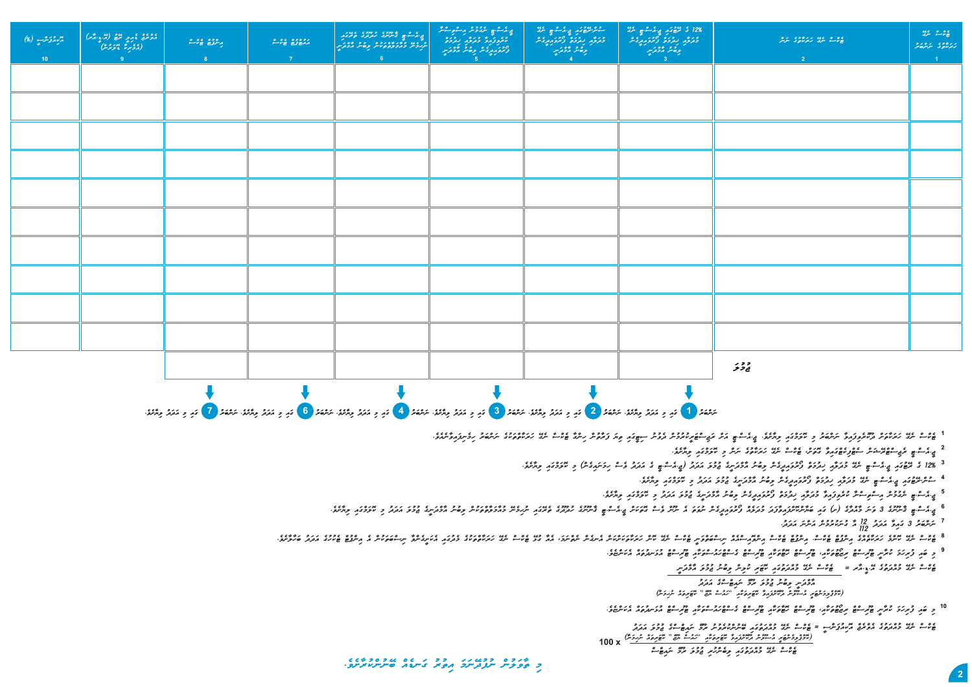

**jI.aesc.TI rejiscTcrExwnc seTcfikeTcgwaivW gotwSc, Tekcsc negE hwrwkWtuge nwnc mi kolwmcgwai liyWSeve. 2**

<sup>3</sup> 128 *في عنوم، چ* كمت وي عند العرقر العرقر العروب العربي العربي العربي العربي العربي العربي العربي العربي العربي العربي العربي العربي العربي العربي العربي العربي العربي العربي العربي العربي العربي العربي العربي العربي

4 ـ وعيدوي<sub>م في ا</sub>لمسوء عند وتركو بروكو العروبروتار وقائر الاورس 52 المركز و 1921م والركود.<br>4 ـ المستوفي المستوفي المستوفي المستوفي المستوفي المستوفي المستوفي المستوفي المستوفي المستوفي المستوفي المستوفي

5 <sub>في ا</sub>كرے ، وي الله على الله على الله على الله على الله على الله على الله على الله على الله على الله على الله على الله على الله على الله على الله على الله على الله على الله على الله ع<br>5 أكسِ الله على الله على الله على ا

**jI.aesc.TI qWnUnuge 3 vwnw mWacdWge )S( gwai bwyWnckoScfwaivWfwdw mudwleac fOruvwaidIgenc nuvwtw ae nUnc vesc gotwkwSc jI.aesc.TI qWnUnuge hudUduge terEgwai nuhimenE muaWmwlWtctwkunc libunu aWmcdwnIge jumulw awdwdu mi kolwmcgwai liyWSeve. 6**

**nwncbwru 3 gwaivW awdwdu aW gunwkurumunc awncnw awdwdu. 7 211 /21**

8 בים המאודעי מיקום בין הייתה של המאודעי המים המודעי המאודעים המים המים המים המודעי מים המודעים המים המים המודעי המו<br>בין ייתר ממודעי הייתה בין המאודעי המאודעים המודעים המודעים הייתה מודעים מודעים ממודעים המים ה-הספייה המו

9 כ פור צ'ונדיל ויוליין שיריים ויוספים וכן שיריים ושפיות שיריים ביישבוריים וליישים ולייטים ויוספי.<br>9 כ פור צ'ונדיל ויוליין שיריים ויוספים ותו שיריים ושפיות שיניים ביישבוריים ולייטים ולייטים ויוספים.

Tekch neget a muach neget muach neget a ce ce ce word.<br>**By the muscle of the muach was chung in yo**ng in the second and the second

**aWmcdwnI libunu jumulw rUmc nwaiTcscge awdwdu koTwritwac nuhimwnW(** " **hwausc yUzc** " **)komcpclimwncTwrI ausUlunc dUkoScfwaivW koTwritwkWai** 

10 و تمار تر *بر*كتر مع من الموجود و الموجود المعاملين الموجود و الموجود الموجود الموجود المستعدد و الموجود المستعدد

**Tekcsc negE muacdwtugwai bEnunckurevunu rUmc nwaiTcscge jumulw awdwdu Tekcsc negE muacdwtuge aevcrejc aokiaupwncsI =** (*\$3, وَدْهُوَ بِهِ مِسْتَوَسْرُ وَتَعْتَزُوهُ تَقْوَيْهُمُ "رَمُتْ مَتَّة" مُقَوِيدُهُ مُرْرِدَسُّ) x* 100 **Tekcsc negE muacdwtugwai libenchuri jumulw rUmc nwaiTcsc** 

**mi tWvwlunc nufudEnwmw aituru gwnDeac bEnunckurWSeve.**